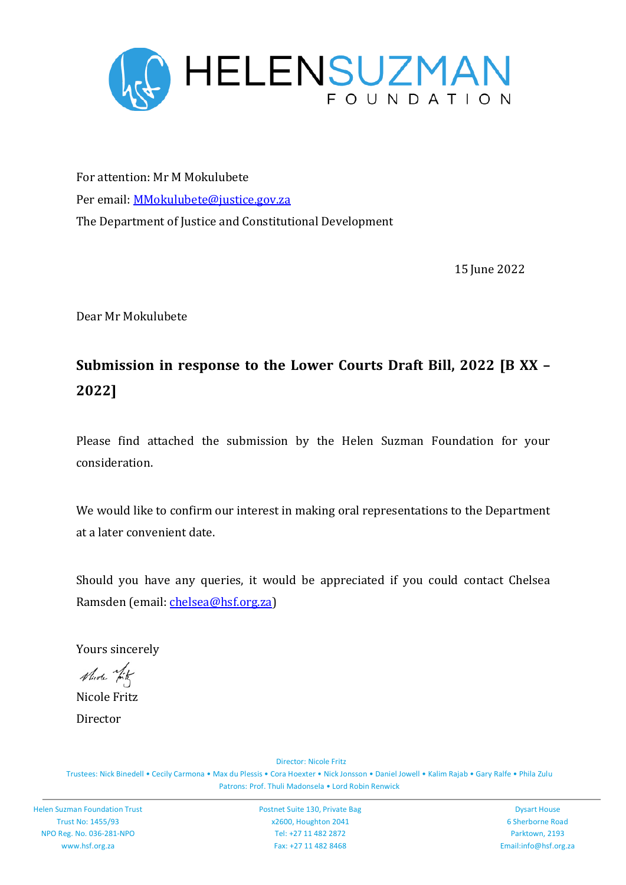

For attention: Mr M Mokulubete Per email: MMokulubete@justice.gov.za The Department of Justice and Constitutional Development

15 June 2022

Dear Mr Mokulubete

# **Submission in response to the Lower Courts Draft Bill, 2022 [B XX – 2022]**

Please find attached the submission by the Helen Suzman Foundation for your consideration.

We would like to confirm our interest in making oral representations to the Department at a later convenient date.

Should you have any queries, it would be appreciated if you could contact Chelsea Ramsden (email: chelsea@hsf.org.za)

Yours sincerely

Much hit

Nicole Fritz Director

Director: Nicole Fritz

Trustees: Nick Binedell • Cecily Carmona • Max du Plessis • Cora Hoexter • Nick Jonsson • Daniel Jowell • Kalim Rajab • Gary Ralfe • Phila Zulu Patrons: Prof. Thuli Madonsela • Lord Robin Renwick

Postnet Suite 130, Private Bag x2600, Houghton 2041 Tel: +27 11 482 2872 Fax: +27 11 482 8468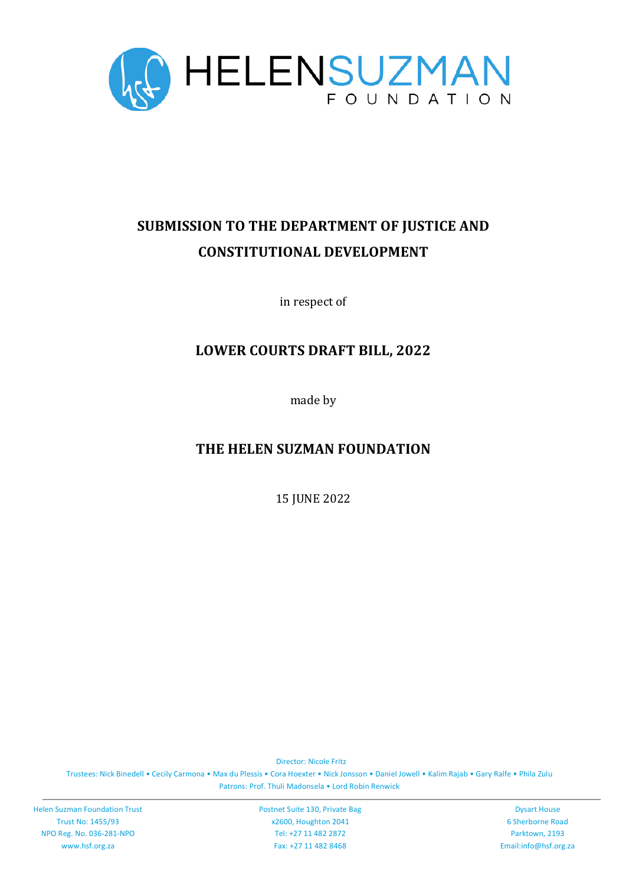

# **SUBMISSION TO THE DEPARTMENT OF JUSTICE AND CONSTITUTIONAL DEVELOPMENT**

in respect of

# **LOWER COURTS DRAFT BILL, 2022**

made by

# **THE HELEN SUZMAN FOUNDATION**

15 JUNE 2022

Director: Nicole Fritz

Trustees: Nick Binedell • Cecily Carmona • Max du Plessis • Cora Hoexter • Nick Jonsson • Daniel Jowell • Kalim Rajab • Gary Ralfe • Phila Zulu Patrons: Prof. Thuli Madonsela • Lord Robin Renwick

Helen Suzman Foundation Trust Trust No: 1455/93 NPO Reg. No. 036-281-NPO www.hsf.org.za

Postnet Suite 130, Private Bag x2600, Houghton 2041 Tel: +27 11 482 2872 Fax: +27 11 482 8468

Dysart House 6 Sherborne Road Parktown, 2193 Email:info@hsf.org.za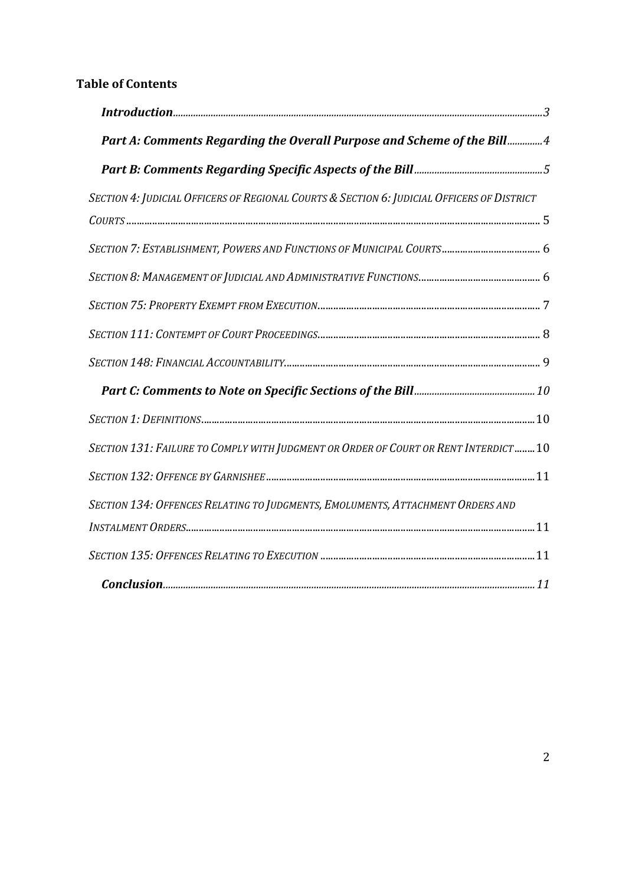# **Table of Contents**

| Part A: Comments Regarding the Overall Purpose and Scheme of the Bill4                     |  |
|--------------------------------------------------------------------------------------------|--|
|                                                                                            |  |
| SECTION 4: JUDICIAL OFFICERS OF REGIONAL COURTS & SECTION 6: JUDICIAL OFFICERS OF DISTRICT |  |
|                                                                                            |  |
|                                                                                            |  |
|                                                                                            |  |
|                                                                                            |  |
|                                                                                            |  |
|                                                                                            |  |
|                                                                                            |  |
|                                                                                            |  |
| SECTION 131: FAILURE TO COMPLY WITH JUDGMENT OR ORDER OF COURT OR RENT INTERDICT10         |  |
|                                                                                            |  |
| SECTION 134: OFFENCES RELATING TO JUDGMENTS, EMOLUMENTS, ATTACHMENT ORDERS AND             |  |
|                                                                                            |  |
|                                                                                            |  |
|                                                                                            |  |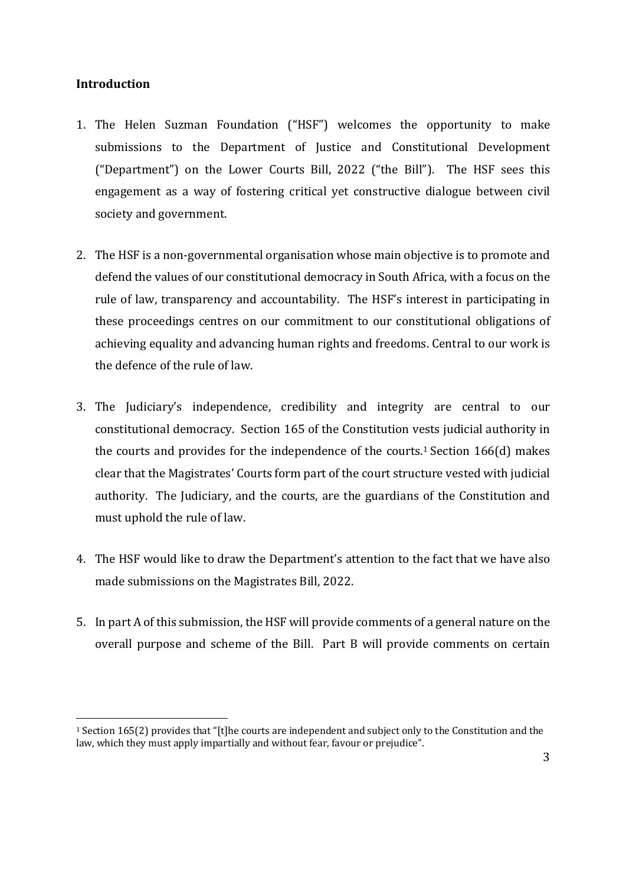## **Introduction**

- 1. The Helen Suzman Foundation ("HSF") welcomes the opportunity to make submissions to the Department of Justice and Constitutional Development ("Department") on the Lower Courts Bill, 2022 ("the Bill"). The HSF sees this engagement as a way of fostering critical yet constructive dialogue between civil society and government.
- 2. The HSF is a non-governmental organisation whose main objective is to promote and defend the values of our constitutional democracy in South Africa, with a focus on the rule of law, transparency and accountability. The HSF's interest in participating in these proceedings centres on our commitment to our constitutional obligations of achieving equality and advancing human rights and freedoms. Central to our work is the defence of the rule of law.
- 3. The Judiciary's independence, credibility and integrity are central to our constitutional democracy. Section 165 of the Constitution vests judicial authority in the courts and provides for the independence of the courts.<sup>1</sup> Section 166(d) makes clear that the Magistrates' Courts form part of the court structure vested with judicial authority. The Judiciary, and the courts, are the guardians of the Constitution and must uphold the rule of law.
- 4. The HSF would like to draw the Department's attention to the fact that we have also made submissions on the Magistrates Bill, 2022.
- 5. In part A of this submission, the HSF will provide comments of a general nature on the overall purpose and scheme of the Bill. Part B will provide comments on certain

<sup>1</sup> Section 165(2) provides that "[t]he courts are independent and subject only to the Constitution and the law, which they must apply impartially and without fear, favour or prejudice".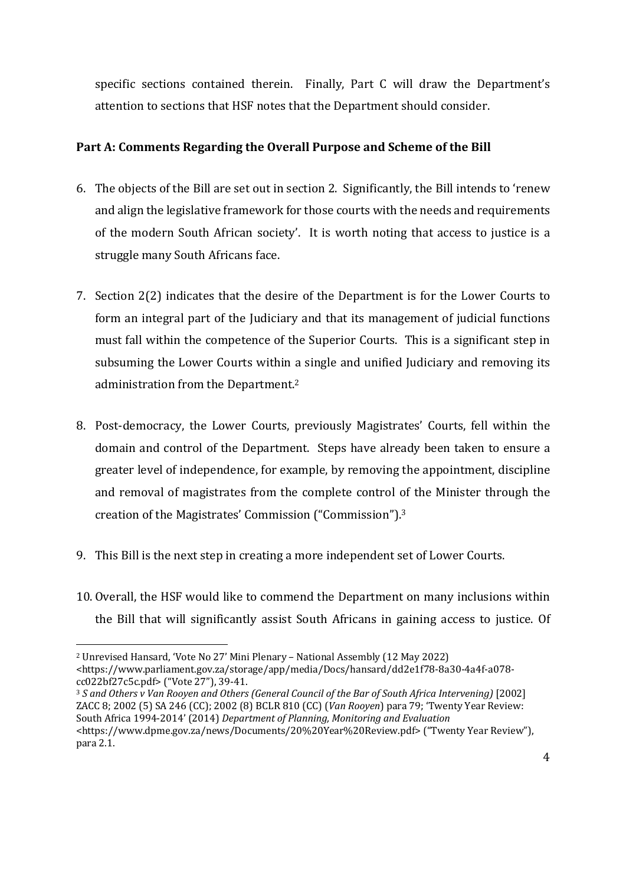specific sections contained therein. Finally, Part C will draw the Department's attention to sections that HSF notes that the Department should consider.

# **Part A: Comments Regarding the Overall Purpose and Scheme of the Bill**

- 6. The objects of the Bill are set out in section 2. Significantly, the Bill intends to 'renew and align the legislative framework for those courts with the needs and requirements of the modern South African society'. It is worth noting that access to justice is a struggle many South Africans face.
- 7. Section 2(2) indicates that the desire of the Department is for the Lower Courts to form an integral part of the Judiciary and that its management of judicial functions must fall within the competence of the Superior Courts. This is a significant step in subsuming the Lower Courts within a single and unified Judiciary and removing its administration from the Department.2
- 8. Post-democracy, the Lower Courts, previously Magistrates' Courts, fell within the domain and control of the Department. Steps have already been taken to ensure a greater level of independence, for example, by removing the appointment, discipline and removal of magistrates from the complete control of the Minister through the creation of the Magistrates' Commission ("Commission"). 3
- 9. This Bill is the next step in creating a more independent set of Lower Courts.
- 10. Overall, the HSF would like to commend the Department on many inclusions within the Bill that will significantly assist South Africans in gaining access to justice. Of

<sup>2</sup> Unrevised Hansard, 'Vote No 27' Mini Plenary – National Assembly (12 May 2022) <https://www.parliament.gov.za/storage/app/media/Docs/hansard/dd2e1f78-8a30-4a4f-a078 cc022bf27c5c.pdf> ("Vote 27"), 39-41.

<sup>3</sup> *S and Others v Van Rooyen and Others (General Council of the Bar of South Africa Intervening)* [2002] ZACC 8; 2002 (5) SA 246 (CC); 2002 (8) BCLR 810 (CC) (*Van Rooyen*) para 79; 'Twenty Year Review: South Africa 1994-2014' (2014) *Department of Planning, Monitoring and Evaluation* <https://www.dpme.gov.za/news/Documents/20%20Year%20Review.pdf> ("Twenty Year Review"), para 2.1.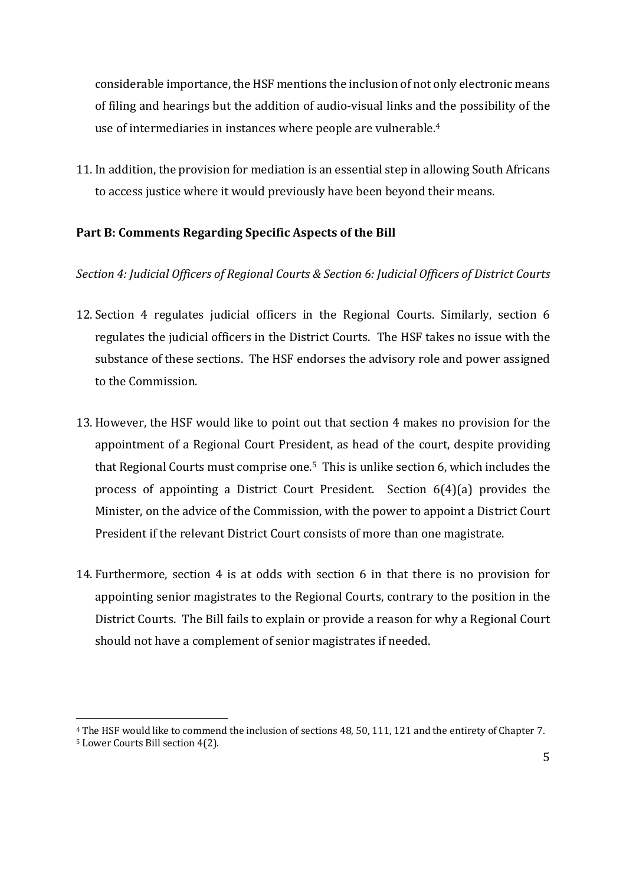considerable importance, the HSF mentions the inclusion of not only electronic means of filing and hearings but the addition of audio-visual links and the possibility of the use of intermediaries in instances where people are vulnerable.4

11. In addition, the provision for mediation is an essential step in allowing South Africans to access justice where it would previously have been beyond their means.

### **Part B: Comments Regarding Specific Aspects of the Bill**

#### *Section 4: Judicial Officers of Regional Courts & Section 6: Judicial Officers of District Courts*

- 12. Section 4 regulates judicial officers in the Regional Courts. Similarly, section 6 regulates the judicial officers in the District Courts. The HSF takes no issue with the substance of these sections. The HSF endorses the advisory role and power assigned to the Commission.
- 13. However, the HSF would like to point out that section 4 makes no provision for the appointment of a Regional Court President, as head of the court, despite providing that Regional Courts must comprise one.<sup>5</sup> This is unlike section 6, which includes the process of appointing a District Court President. Section 6(4)(a) provides the Minister, on the advice of the Commission, with the power to appoint a District Court President if the relevant District Court consists of more than one magistrate.
- 14. Furthermore, section 4 is at odds with section 6 in that there is no provision for appointing senior magistrates to the Regional Courts, contrary to the position in the District Courts. The Bill fails to explain or provide a reason for why a Regional Court should not have a complement of senior magistrates if needed.

<sup>4</sup> The HSF would like to commend the inclusion of sections 48, 50, 111, 121 and the entirety of Chapter 7. <sup>5</sup> Lower Courts Bill section 4(2).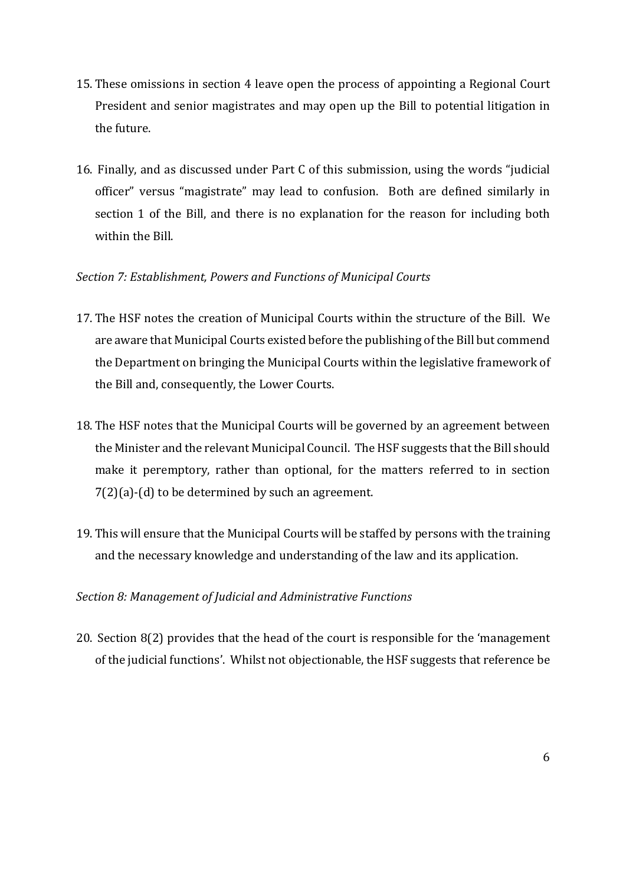- 15. These omissions in section 4 leave open the process of appointing a Regional Court President and senior magistrates and may open up the Bill to potential litigation in the future.
- 16. Finally, and as discussed under Part C of this submission, using the words "judicial officer" versus "magistrate" may lead to confusion. Both are defined similarly in section 1 of the Bill, and there is no explanation for the reason for including both within the Bill.

### *Section 7: Establishment, Powers and Functions of Municipal Courts*

- 17. The HSF notes the creation of Municipal Courts within the structure of the Bill. We are aware that Municipal Courts existed before the publishing of the Bill but commend the Department on bringing the Municipal Courts within the legislative framework of the Bill and, consequently, the Lower Courts.
- 18. The HSF notes that the Municipal Courts will be governed by an agreement between the Minister and the relevant Municipal Council. The HSF suggests that the Bill should make it peremptory, rather than optional, for the matters referred to in section 7(2)(a)-(d) to be determined by such an agreement.
- 19. This will ensure that the Municipal Courts will be staffed by persons with the training and the necessary knowledge and understanding of the law and its application.

# *Section 8: Management of Judicial and Administrative Functions*

20. Section 8(2) provides that the head of the court is responsible for the 'management of the judicial functions'. Whilst not objectionable, the HSF suggests that reference be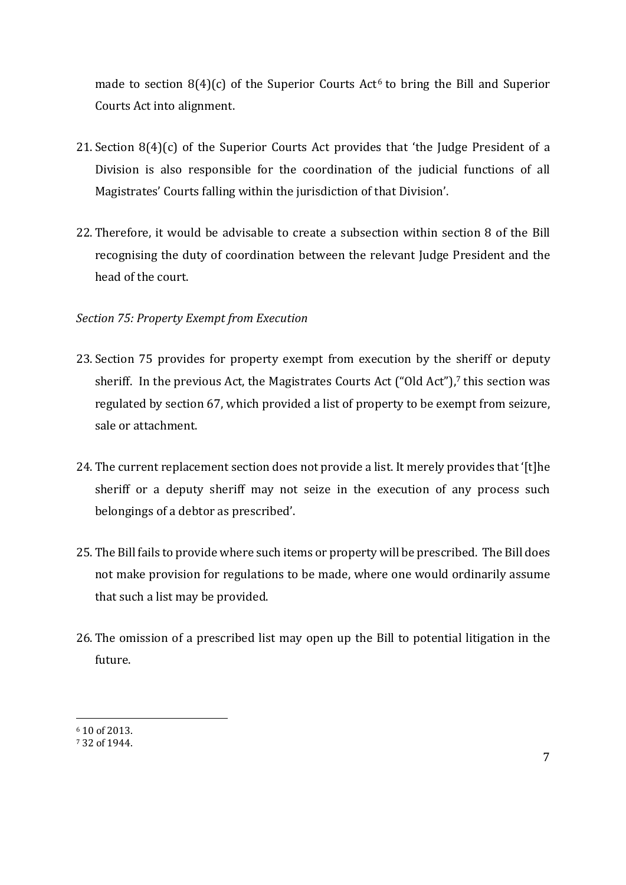made to section  $8(4)(c)$  of the Superior Courts Act<sup>6</sup> to bring the Bill and Superior Courts Act into alignment.

- 21. Section 8(4)(c) of the Superior Courts Act provides that 'the Judge President of a Division is also responsible for the coordination of the judicial functions of all Magistrates' Courts falling within the jurisdiction of that Division'.
- 22. Therefore, it would be advisable to create a subsection within section 8 of the Bill recognising the duty of coordination between the relevant Judge President and the head of the court.

# *Section 75: Property Exempt from Execution*

- 23. Section 75 provides for property exempt from execution by the sheriff or deputy sheriff. In the previous Act, the Magistrates Courts Act ("Old Act"), $7$  this section was regulated by section 67, which provided a list of property to be exempt from seizure, sale or attachment.
- 24. The current replacement section does not provide a list. It merely provides that '[t]he sheriff or a deputy sheriff may not seize in the execution of any process such belongings of a debtor as prescribed'.
- 25. The Bill fails to provide where such items or property will be prescribed. The Bill does not make provision for regulations to be made, where one would ordinarily assume that such a list may be provided.
- 26. The omission of a prescribed list may open up the Bill to potential litigation in the future.

<sup>6</sup> 10 of 2013.

<sup>7</sup> 32 of 1944.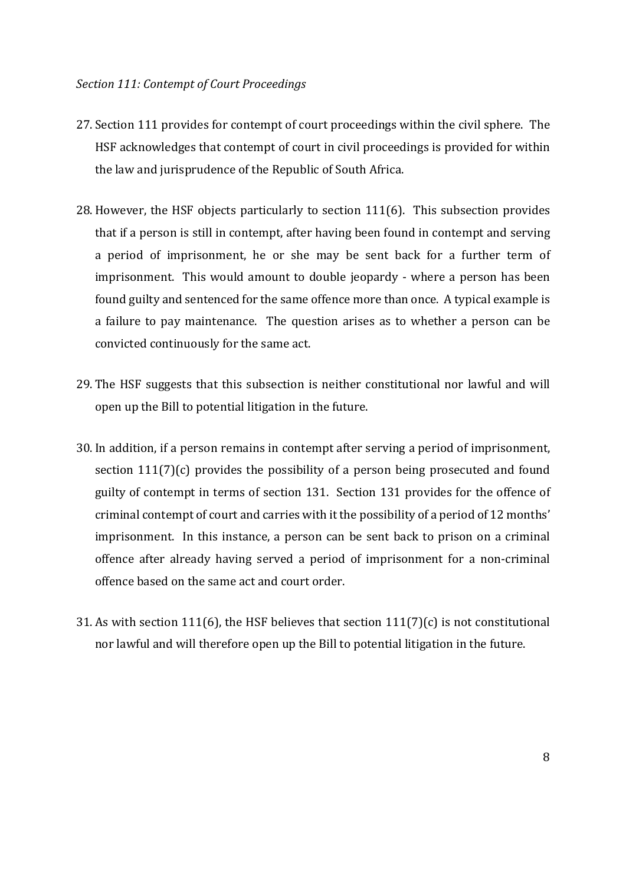- 27. Section 111 provides for contempt of court proceedings within the civil sphere. The HSF acknowledges that contempt of court in civil proceedings is provided for within the law and jurisprudence of the Republic of South Africa.
- 28. However, the HSF objects particularly to section  $111(6)$ . This subsection provides that if a person is still in contempt, after having been found in contempt and serving a period of imprisonment, he or she may be sent back for a further term of imprisonment. This would amount to double jeopardy - where a person has been found guilty and sentenced for the same offence more than once. A typical example is a failure to pay maintenance. The question arises as to whether a person can be convicted continuously for the same act.
- 29. The HSF suggests that this subsection is neither constitutional nor lawful and will open up the Bill to potential litigation in the future.
- 30. In addition, if a person remains in contempt after serving a period of imprisonment, section 111(7)(c) provides the possibility of a person being prosecuted and found guilty of contempt in terms of section 131. Section 131 provides for the offence of criminal contempt of court and carries with it the possibility of a period of 12 months' imprisonment. In this instance, a person can be sent back to prison on a criminal offence after already having served a period of imprisonment for a non-criminal offence based on the same act and court order.
- 31. As with section 111(6), the HSF believes that section 111(7)(c) is not constitutional nor lawful and will therefore open up the Bill to potential litigation in the future.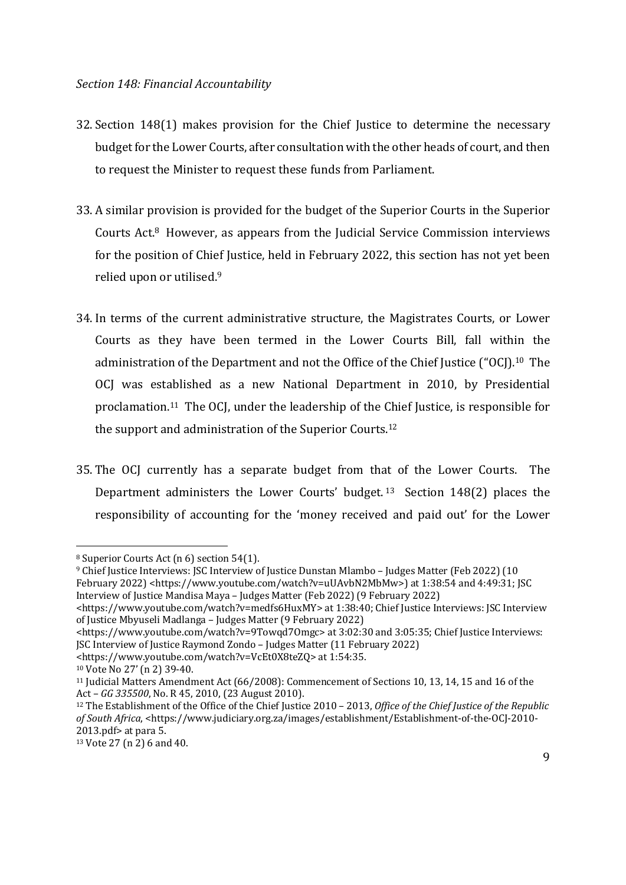- 32. Section 148(1) makes provision for the Chief Justice to determine the necessary budget for the Lower Courts, after consultation with the other heads of court, and then to request the Minister to request these funds from Parliament.
- 33. A similar provision is provided for the budget of the Superior Courts in the Superior Courts Act.<sup>8</sup> However, as appears from the Judicial Service Commission interviews for the position of Chief Justice, held in February 2022, this section has not yet been relied upon or utilised.9
- 34. In terms of the current administrative structure, the Magistrates Courts, or Lower Courts as they have been termed in the Lower Courts Bill, fall within the administration of the Department and not the Office of the Chief Justice ("OCJ).10 The OCJ was established as a new National Department in 2010, by Presidential proclamation.<sup>11</sup> The OCJ, under the leadership of the Chief Justice, is responsible for the support and administration of the Superior Courts.12
- 35. The OCJ currently has a separate budget from that of the Lower Courts. The Department administers the Lower Courts' budget.<sup>13</sup> Section 148(2) places the responsibility of accounting for the 'money received and paid out' for the Lower

<sup>8</sup> Superior Courts Act (n 6) section 54(1).

<sup>9</sup> Chief Justice Interviews: JSC Interview of Justice Dunstan Mlambo – Judges Matter (Feb 2022) (10 February 2022) <https://www.youtube.com/watch?v=uUAvbN2MbMw>) at 1:38:54 and 4:49:31; JSC Interview of Justice Mandisa Maya – Judges Matter (Feb 2022) (9 February 2022)

<sup>&</sup>lt;https://www.youtube.com/watch?v=medfs6HuxMY> at 1:38:40; Chief Justice Interviews: JSC Interview of Justice Mbyuseli Madlanga – Judges Matter (9 February 2022)

<sup>&</sup>lt;https://www.youtube.com/watch?v=9Towqd7Omgc> at 3:02:30 and 3:05:35; Chief Justice Interviews: JSC Interview of Justice Raymond Zondo – Judges Matter (11 February 2022)

<sup>&</sup>lt;https://www.youtube.com/watch?v=VcEt0X8teZQ> at 1:54:35.

<sup>10</sup> Vote No 27' (n 2) 39-40.

<sup>11</sup> Judicial Matters Amendment Act (66/2008): Commencement of Sections 10, 13, 14, 15 and 16 of the Act – *GG 335500*, No. R 45, 2010, (23 August 2010).

<sup>12</sup> The Establishment of the Office of the Chief Justice 2010 – 2013, *Office of the Chief Justice of the Republic of South Africa*, <https://www.judiciary.org.za/images/establishment/Establishment-of-the-OCJ-2010- 2013.pdf> at para 5.

<sup>13</sup> Vote 27 (n 2) 6 and 40.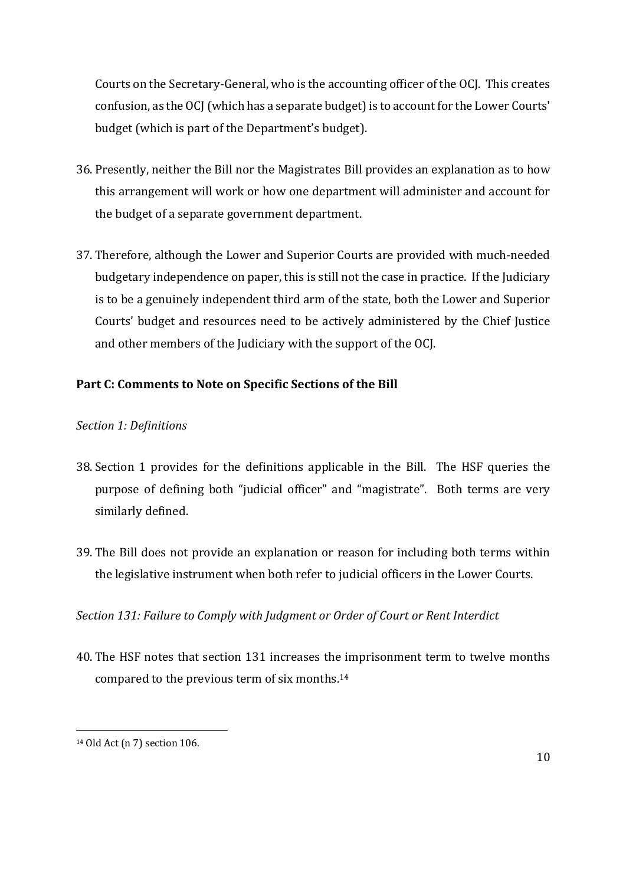Courts on the Secretary-General, who is the accounting officer of the OCJ. This creates confusion, as the OCJ (which has a separate budget) is to account for the Lower Courts' budget (which is part of the Department's budget).

- 36. Presently, neither the Bill nor the Magistrates Bill provides an explanation as to how this arrangement will work or how one department will administer and account for the budget of a separate government department.
- 37. Therefore, although the Lower and Superior Courts are provided with much-needed budgetary independence on paper, this is still not the case in practice. If the Judiciary is to be a genuinely independent third arm of the state, both the Lower and Superior Courts' budget and resources need to be actively administered by the Chief Justice and other members of the Judiciary with the support of the OCJ.

# **Part C: Comments to Note on Specific Sections of the Bill**

#### *Section 1: Definitions*

- 38. Section 1 provides for the definitions applicable in the Bill. The HSF queries the purpose of defining both "judicial officer" and "magistrate". Both terms are very similarly defined.
- 39. The Bill does not provide an explanation or reason for including both terms within the legislative instrument when both refer to judicial officers in the Lower Courts.

### *Section 131: Failure to Comply with Judgment or Order of Court or Rent Interdict*

40. The HSF notes that section 131 increases the imprisonment term to twelve months compared to the previous term of six months.14

<sup>14</sup> Old Act (n 7) section 106.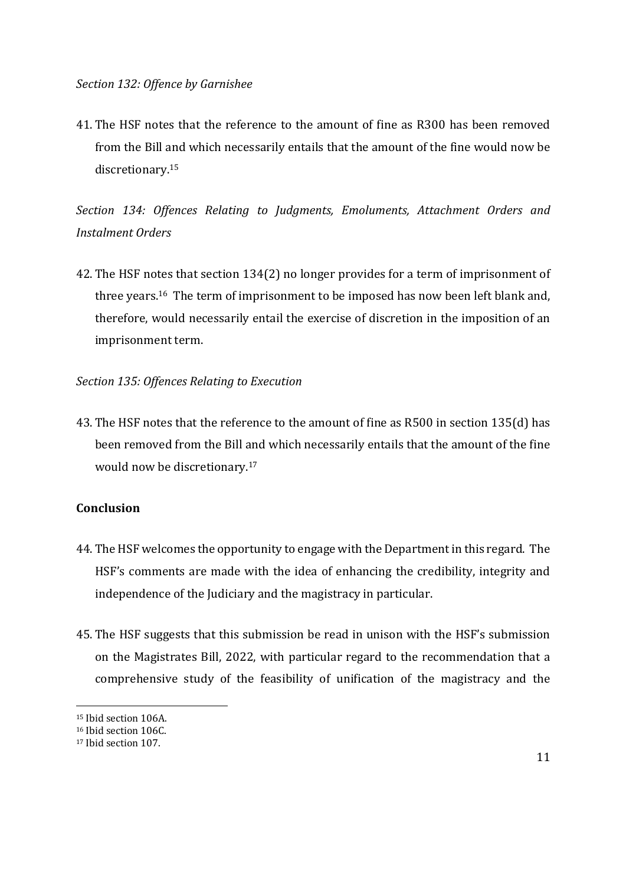41. The HSF notes that the reference to the amount of fine as R300 has been removed from the Bill and which necessarily entails that the amount of the fine would now be discretionary.15

*Section 134: Offences Relating to Judgments, Emoluments, Attachment Orders and Instalment Orders*

42. The HSF notes that section 134(2) no longer provides for a term of imprisonment of three years.<sup>16</sup> The term of imprisonment to be imposed has now been left blank and, therefore, would necessarily entail the exercise of discretion in the imposition of an imprisonment term.

*Section 135: Offences Relating to Execution*

43. The HSF notes that the reference to the amount of fine as R500 in section 135(d) has been removed from the Bill and which necessarily entails that the amount of the fine would now be discretionary.17

#### **Conclusion**

- 44. The HSF welcomes the opportunity to engage with the Department in this regard. The HSF's comments are made with the idea of enhancing the credibility, integrity and independence of the Judiciary and the magistracy in particular.
- 45. The HSF suggests that this submission be read in unison with the HSF's submission on the Magistrates Bill, 2022, with particular regard to the recommendation that a comprehensive study of the feasibility of unification of the magistracy and the

<sup>15</sup> Ibid section 106A.

<sup>&</sup>lt;sup>16</sup> Ibid section 106C.

<sup>17</sup> Ibid section 107.